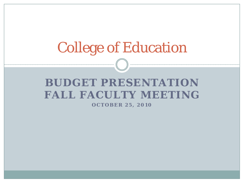# College of Education

## **BUDGET PRESENTATION FALL FACULTY MEETING**

**OCTOBER 25, 2010**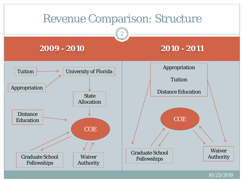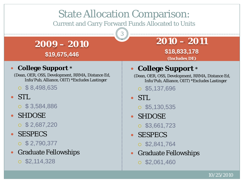## State Allocation Comparison:

Current and Carry Forward Funds Allocated to Units

3

**2009 – 2010 \$19,675,446**

### **College Support \***

(Dean, OER, OSS, Development, RRMA, Distance Ed, Info/Pub, Alliance, OIIT) \*Excludes Lastinger

 $\circ$  \$ 8,498,635

### STL

- $\circ$  \$ 3,584,886
- SHDOSE
	- $\circ$  \$ 2,687,220
- SESPECS
	- $\circ$  \$ 2,790,377
- Graduate Fellowships
	- $\circ$  \$2,114,328

## **2010 – 2011**

**\$18,833,178 (Includes DE)**

## **College Support \***

(Dean, OER, OSS, Development, RRMA, Distance Ed, Info/Pub, Alliance, OIIT) \*Excludes Lastinger

 $\circ$  \$5,137,696

- STL
	- $\circ$  \$5,130,535
- SHDOSE
	- $\circ$  \$3,661,723
- SESPECS
	- $\circ$  \$2,841,764
- Graduate Fellowships
	- $\circ$  \$2,061,460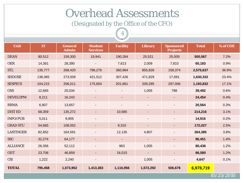## Overhead Assessments

(Designated by the Office of the CFO)

4

| Unit             | IT      | <b>General</b><br><b>Admin</b> | <b>Student</b><br><b>Services</b> | <b>Facility</b>          | <b>Library</b>           | <b>Sponsored</b><br><b>Projects</b> | <b>Total</b> | % of COE |
|------------------|---------|--------------------------------|-----------------------------------|--------------------------|--------------------------|-------------------------------------|--------------|----------|
| <b>DEAN</b>      | 80,512  | 159,300                        | 19,941                            | 190,284                  | 25,521                   | 25,009                              | 500,567      | 7.2%     |
| <b>OER</b>       | 14,361  | 28,390                         |                                   | 7,613                    | 2,009                    | 7,810                               | 60,183       | 0.9%     |
| <b>STL</b>       | 135,777 | 268,420                        | 796,276                           | 360,964                  | 855,826                  | 158,374                             | 2,575,637    | 36.9%    |
| <b>SHDOSE</b>    | 138,365 | 273,509                        | 421,512                           | 307,426                  | 471,829                  | 17,691                              | 1,630,332    | 23.4%    |
| <b>SESPECS</b>   | 104,215 | 206,011                        | 175,654                           | 201,661                  | 209,285                  | 297,006                             | 1,193,832    | 17.1%    |
| <b>OSS</b>       | 12,665  | 25,034                         |                                   | ٠                        | 1,005                    | 788                                 | 39,492       | 0.6%     |
| <b>DEVELOPM</b>  | 8,211   | 16,243                         | $\blacksquare$                    | ٠                        |                          |                                     | 24,454       | 0.4%     |
| <b>RRMA</b>      | 6,907   | 13,657                         | $\overline{\phantom{a}}$          | $\blacksquare$           |                          |                                     | 20,564       | 0.3%     |
| <b>DIST ED</b>   | 68,359  | 135,272                        | $\blacksquare$                    | 10,585                   | $\overline{\phantom{a}}$ | ۰.                                  | 214,216      | 3.1%     |
| <b>INFO/PUB</b>  | 5,011   | 9,905                          | $\overline{\phantom{a}}$          | $\overline{\phantom{a}}$ | $\overline{\phantom{a}}$ |                                     | 14,916       | 0.2%     |
| <b>GRAD STU</b>  | 54,665  | 108,052                        | $\blacksquare$                    | 9,310                    |                          | ٠                                   | 172,027      | 2.5%     |
| <b>LASTINGER</b> | 82,852  | 164,591                        | $\overline{\phantom{a}}$          | 12,135                   | 4,807                    | $\overline{\phantom{0}}$            | 264,385      | 3.8%     |
| <b>SSC</b>       | 32,274  | 64,177                         | $\blacksquare$                    | $\blacksquare$           | $\blacksquare$           | ۰.                                  | 96,451       | 1.4%     |
| <b>ALLIANCE</b>  | 26,356  | 52,112                         |                                   | 963                      | 1,005                    |                                     | 80,436       | 1.2%     |
| <b>OIIT</b>      | 23,706  | 46,859                         | $\blacksquare$                    | 16,015                   |                          | ۰                                   | 86,580       | 1.2%     |
| <b>CSI</b>       | 1,222   | 2,240                          | $\blacksquare$                    |                          | 1,005                    |                                     | 4,647        | 0.1%     |
| <b>TOTAL</b>     | 795,458 | 1,573,952                      | 1,413,383                         | 1,116,956                | 1,572,292                | 506,678                             | 6,978,719    |          |
| 10/25/2010       |         |                                |                                   |                          |                          |                                     |              |          |